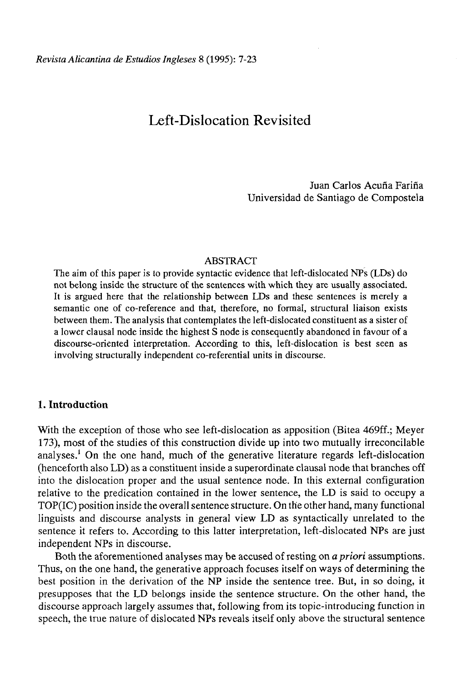# Left-Dislocation Revisited

Juan Carlos Acuña Fariña Universidad de Santiago de Compostela

### ABSTRACT

The aim of this paper is to provide syntactic evidence that left-dislocated NPs (LDs) do not belong inside the structure of the sentences with which they are usually associated. It is argued here that the relationship between LDs and these sentences is merely a semantic one of co-reference and that, therefore, no formal, structural liaison exists between them. The analysis that contemplates the left-dislocated constituent as a sister of a lower clausal node inside the highest S node is consequently abandoned in favour of a discourse-oriented interpretation. According to this, left-dislocation is best seen as involving structurally independent co-referential units in discourse.

# **1. Introduction**

With the exception of those who see left-dislocation as apposition (Bitea 469ff.; Meyer 173), most of the studies of this construction divide up into two mutually irreconcilable analyses.<sup>1</sup> On the one hand, much of the generative literature regards left-dislocation (henceforth also LD) as a constituent inside a superordinate clausal node that branches off into the dislocation proper and the usual sentence node. In this external configuration relative to the predication contained in the lower sentence, the LD is said to occupy a TOP(IC) position inside the overall sentence structure. On the other hand, many functional linguists and discourse analysts in general view LD as syntactically unrelated to the sentence it refers to. According to this latter interpretation, left-dislocated NPs are just independent NPs in discourse.

Both the aforementioned analyses may be accused of resting on *apriori* assumptions. Thus, on the one hand, the generative approach focuses itself on ways of determining the best position in the derivation of the NP inside the sentence tree. But, in so doing, it presupposes that the LD belongs inside the sentence structure. On the other hand, the discourse approach largely assumes that, following from its topic-introducing function in speech, the true nature of dislocated NPs reveals itself only above the structural sentence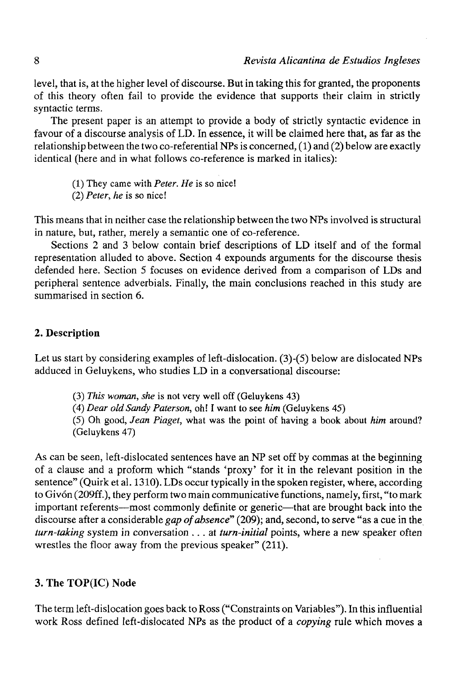level, that is, at the higher level of discourse. But in taking this for granted, the proponents of this theory often fail to provide the evidence that supports their claim in strictly syntactic terms.

The present paper is an attempt to provide a body of strictly syntactic evidence in favour of a discourse analysis of LD. In essence, it will be claimed here that, as far as the relationship between the two co-referential NPs is concerned,  $(1)$  and  $(2)$  below are exactly identical (here and in what follows co-reference is marked in italics):

(1) They carne with *Peter. He* is so nice!

(2) *Peter, he* is so nice!

This means that in neither case the relationship between the two NPs involved is structural in nature, but, rather, merely a semantic one of co-reference.

Sections 2 and 3 below contain brief descriptions of LD itself and of the formal representation alluded to above. Section 4 expounds arguments for the discourse thesis defended here. Section 5 focuses on evidence derived from a comparison of LDs and peripheral sentence adverbials. Finally, the main conclusions reached in this study are summarised in section 6.

## **2. Description**

Let us start by considering examples of left-dislocation. (3)-(5) below are dislocated NPs adduced in Geluykens, who studies LD in a conversational discourse:

- (3) *This woman, she* is not very well off (Geluykens 43)
- (4) *Dear oíd Sandy Paterson,* oh! I want to see *him* (Geluykens 45)

(5) Oh good, *Jean Piaget,* what was the point of having a book about *him* around? (Geluykens 47)

As can be seen, left-dislocated sentences have an NP set off by commas at the beginning of a clause and a proform which "stands 'proxy' for it in the relevant position in the sentence" (Quirk et al. 1310). LDs occur typically in the spoken register, where, according to Givón (209ff.), they perform two main communicative functions, namely, first, "to mark important referents—most commonly definite or generic—that are brought back into the discourse after a considerable *gap of absence*" (209); and, second, to serve "as a cue in the *turn-taking* system in conversation .. . at *turn-initial* points, where a new speaker often wrestles the floor away from the previous speaker" (211).

# **3. The TOP(IC) Node**

The term left-dislocation goes back to Ross ("Constraints on Variables"). In this influential work Ross defined left-dislocated NPs as the product of a *copying* rule which moves a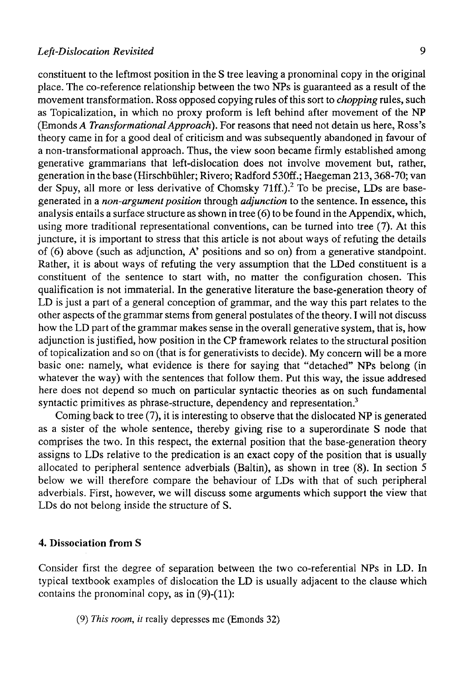constituent to the leftmost position in the S tree leaving a pronominal copy in the original place. The co-reference relationship between the two NPs is guaranteed as a result of the movement transformation. Ross opposed copying rules of this sort to *chopping* rules, such as Topicalization, in which no proxy proform is left behind after movement of the NP (Emonds *A Transformational Approach).* For reasons that need not detain us here, Ross's theory carne in for a good deal of criticism and was subsequently abandoned in favour of a non-transformational approach. Thus, the view soon became firmly established among generative grammarians that left-dislocation does not involve movement but, rather, generation in the base (Hirschbühler; Rivero; Radford 530ff.; Haegeman 213,368-70; van der Spuy, all more or less derivative of Chomsky 71ff.).<sup>2</sup> To be precise, LDs are basegenerated in a *non-argument position* through *adjunction* to the sentence. In essence, this analysis entails a surface structure as shown in tree (6) to be found in the Appendix, which, using more traditional representational conventions, can be turned into tree (7). At this juncture, it is important to stress that this article is not about ways of refuting the details of (6) above (such as adjunction, A' positions and so on) from a generative standpoint. Rather, it is about ways of refuting the very assumption that the LDed constituent is a constituent of the sentence to start with, no matter the configuration chosen. This qualification is not immaterial. In the generative literature the base-generation theory of LD is just a part of a general conception of grammar, and the way this part relates to the other aspects of the grammar stems from general postulates of the theory. I will not discuss how the LD part of the grammar makes sense in the overall generative system, that is, how adjunction is justified, how position in the CP framework relates to the structural position of topicalization and so on (that is for generativists to decide). My concern will be a more basic one: namely, what evidence is there for saying that "detached" NPs belong (in whatever the way) with the sentences that follow them. Put this way, the issue addresed here does not depend so much on particular syntactic theories as on such fundamental syntactic primitives as phrase-structure, dependency and representation.<sup>3</sup>

Coming back to tree  $(7)$ , it is interesting to observe that the dislocated NP is generated as a sister of the whole sentence, thereby giving rise to a superordinate S node that comprises the two. In this respect, the external position that the base-generation theory assigns to LDs relative to the predication is an exact copy of the position that is usually allocated to peripheral sentence adverbials (Baltin), as shown in tree (8). In section 5 below we will therefore compare the behaviour of LDs with that of such peripheral adverbials. First, however, we will discuss some arguments which support the view that LDs do not belong inside the structure of S.

### **4. Dissociation from S**

Consider first the degree of separation between the two co-referential NPs in LD. In typical textbook examples of dislocation the LD is usually adjacent to the clause which contains the pronominal copy, as in  $(9)-(11)$ :

(9) *This room, it* really depresses me (Emonds 32)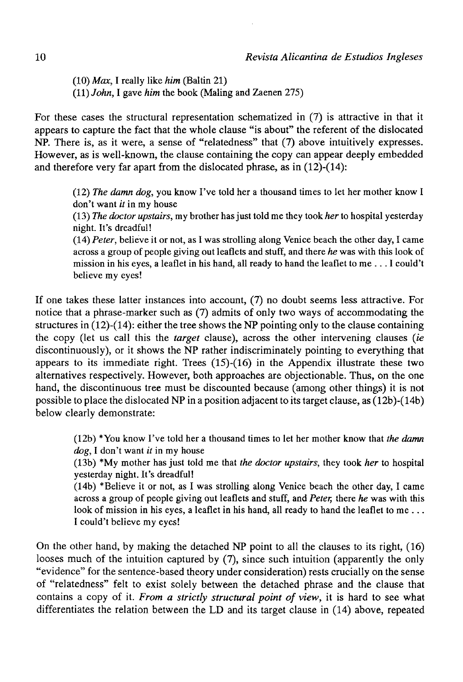(10) *Max,* I really like *him* (Baltin 21) (11) *John,* I gave *him* the book (Maling and Zaenen 275)

For these cases the structural representation schematized in (7) is attractive in that it appears to capture the fact that the whole clause "is about" the referent of the dislocated NP. There is, as it were, a sense of "relatedness" that (7) above intuitively expresses. However, as is well-known, the clause containing the copy can appear deeply embedded and therefore very far apart from the dislocated phrase, as in (12)-(14):

(12) *The damn dog,* you know I've told her a thousand times to let her mother know I don't want *it* in my house

(13) *The doctor upstairs,* my brother has just told me they took *her* to hospital yesterday night. It's dreadful!

(14) *Peter,* believe it or not, as I was strolling along Venice beach the other day, I carne across a group of people giving out leaflets and stuff, and there *he* was with this look of mission in his eyes, a leaflet in his hand, all ready to hand the leaflet to me .. . I could't believe my eyes!

If one takes these latter instances into account, (7) no doubt seems less attractive. For notice that a phrase-marker such as (7) admits of only two ways of accommodating the structures in  $(12)-(14)$ : either the tree shows the NP pointing only to the clause containing the copy (let us cali this the *target* clause), across the other intervening clauses *(ie*  discontinuously), or it shows the NP rather indiscriminately pointing to everything that appears to its immediate right. Trees  $(15)-(16)$  in the Appendix illustrate these two alternatives respectively. However, both approaches are objectionable. Thus, on the one hand, the discontinuous tree must be discounted because (among other things) it is not possible to place the dislocated NP in a position adjacent to its target clause, as  $(12b)$ - $(14b)$ below clearly demonstrate:

(12b) \*You know I've told her a thousand times to let her mother know that *the damn dog,* I don't want *it* in my house

(13b) \*My mother has just told me that *the doctor upstairs,* they took *her* to hospital yesterday night. It's dreadful!

(14b) \*Believe it or not, as I was strolling along Venice beach the other day, I carne across a group of people giving out leaflets and stuff, and *Peter,* there *he* was with this look of mission in his eyes, a leaflet in his hand, all ready to hand the leaflet to me... I could't believe my eyes!

On the other hand, by making the detached NP point to all the clauses to its right, (16) looses much of the intuition captured by (7), since such intuition (apparently the only "evidence" for the sentence-based theory under consideration) rests crucially on the sense of "relatedness" felt to exist solely between the detached phrase and the clause that contains a copy of it. *From a strictly structural point of view,* it is hard to see what differentiates the relation between the LD and its target clause in (14) above, repeated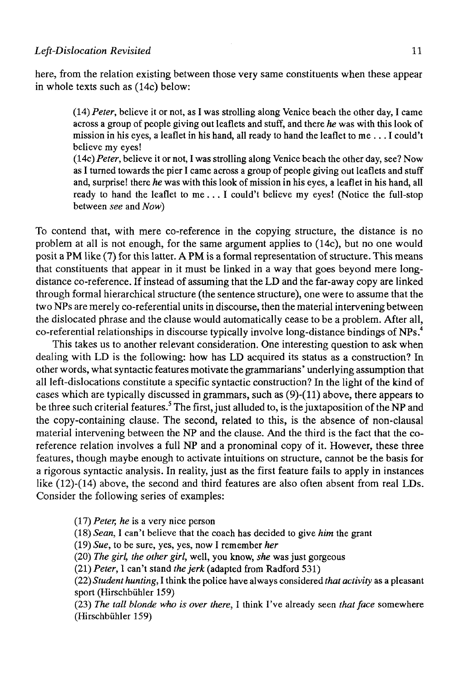#### *Left-Dislocation Revisited* 11

here, from the relation existing between those very same constituents when these appear in whole texts such as (14c) below:

> (14) *Peter,* believe it or not, as I was strolling along Venice beach the other day, I carne across a group of people giving out leaflets and stuff, and there *he* was with this look of mission in his eyes, a leaflet in his hand, all ready to hand the leaflet to me .. . I could't believe my eyes!

> (14c) *Peter,* believe it or not, I was strolling along Venice beach the other day, see? Now as I turned towards the pier I carne across a group of people giving out leaflets and stuff and, surprise! there *he* was with this look of mission in his eyes, a leaflet in his hand, all ready to hand the leaflet to me .. . I could't believe my eyes! (Notice the full-stop between *see* and *Now)*

To contend that, with mere co-reference in the copying structure, the distance is no problem at all is not enough, for the same argument applies to (14c), but no one would posit a PM like (7) for this latter. A PM is a formal representation of structure. This means that constituents that appear in it must be linked in a way that goes beyond mere longdistance co-reference. If instead of assuming that the LD and the far-away copy are linked through formal hierarchical structure (the sentence structure), one were to assume that the two NPs are merely co-referential units in discourse, then the material intervening between the dislocated phrase and the clause would automatically cease to be a problem. After all, co-referential relationships in discourse typically involve long-distance bindings of NPs.<sup>4</sup>

This takes us to another relevant consideration. One interesting question to ask when dealing with LD is the following: how has LD acquired its status as a construction? In other words, what syntactic features motívate the grammarians' underlying assumption that all left-dislocations constitute a specific syntactic construction? In the light of the kind of cases which are typically discussed in grammars, such as (9)-(ll) above, there appears to be three such criterial features.<sup>5</sup> The first, just alluded to, is the juxtaposition of the NP and the copy-containing clause. The second, related to this, is the absence of non-clausal material intervening between the NP and the clause. And the third is the fact that the coreference relation involves a full NP and a pronominal copy of it. However, these three features, though maybe enough to actívate intuitions on structure, cannot be the basis for a rigorous syntactic analysis. In reality, just as the first feature fails to apply in instances like (12)-(14) above, the second and third features are also often absent from real LDs. Consider the following series of examples:

(17) *Peter, he* is a very nice person

(18) *Sean,* I can't believe that the coach has decided to give *him* the grant

(19) *Sue,* to be sure, yes, yes, now I remember *her* 

(20) *The girl, the other girl,* well, you know, *she* was just gorgeous

(21) *Peter,* I can't stand *thejerk* (adapted from Radford 531)

(22) *Student hunting,* I think the pólice have always considered *that activity* as a pleasant sport (Hirschbühler 159)

(23) *The tall Monde who is over there,* I think I've already seen *that face* somewhere (Hirschbühler 159)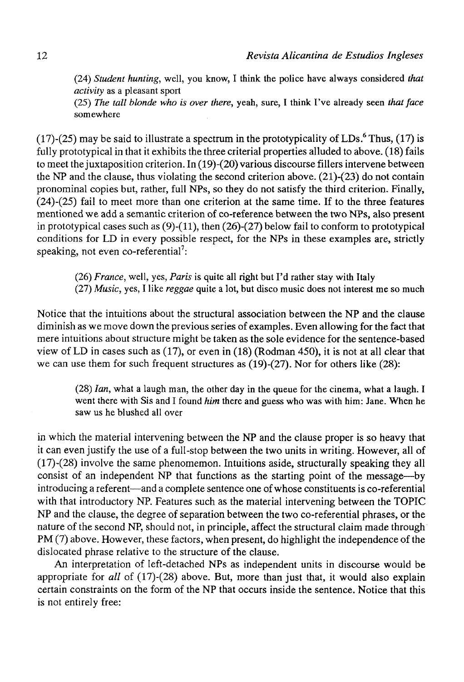(24) *Student hunting,* well, you know, I think the pólice have always considered *that activity* as a pleasant sport

(25) *The tall blonde who is over there,* yeah, sure, I think Fve already seen *that face*  somewhere

(17)-(25) may be said to illustrate a spectrum in the prototypicality of LDs.<sup>6</sup> Thus, (17) is fully prototypical in that it exhibits the three criterial properties alluded to above. (18) fails to meet the juxtaposition criterion. In (19)-(20) various discourse fillers intervene between the NP and the clause, thus violating the second criterion above.  $(21)-(23)$  do not contain pronominal copies but, rather, full NPs, so they do not satisfy the third criterion. Finally, (24)-(25) fail to meet more than one criterion at the same time. If to the three features mentioned we add a semantic criterion of co-reference between the two NPs, also present in prototypical cases such as  $(9)-(11)$ , then  $(26)-(27)$  below fail to conform to prototypical conditions for LD in every possible respect, for the NPs in these examples are, strictly speaking, not even co-referential<sup>?</sup>:

(26) *France,* well, yes, *París* is quite all right but I'd rather stay with Italy (27) *Music,* yes, I like *reggae* quite a lot, but disco music does not interest me so much

Notice that the intuitions about the structural association between the NP and the clause diminish as we move down the previous series of examples. Even allowing for the fact that mere intuitions about structure might be taken as the solé evidence for the sentence-based view of LD in cases such as (17), or even in (18) (Rodman 450), it is not at all clear that we can use them for such frequent structures as (19)-(27). Ñor for others like (28):

(28) *Ian,* what a laugh man, the other day in the queue for the cinema, what a laugh. I went there with Sis and I found *him* there and guess who was with him: Jane. When he saw us he blushed all over

in which the material intervening between the NP and the clause proper is so heavy that it can even justify the use of a full-stop between the two units in writing. However, all of (17)-(28) involve the same phenomemon. Intuitions aside, structurally speaking they all consist of an independent NP that functions as the starting point of the message—by introducing a referent—and a complete sentence one of whose constituents is co-referential with that introductory NP. Features such as the material intervening between the TOPIC NP and the clause, the degree of separation between the two co-referential phrases, or the nature of the second NP, should not, in principie, affect the structural claim made through PM (7) above. However, these factors, when present, do highlight the independence of the dislocated phrase relative to the structure of the clause.

An interpretation of left-detached NPs as independent units in discourse would be appropriate for *all* of (17)-(28) above. But, more than just that, it would also explain certain constraints on the form of the NP that occurs inside the sentence. Notice that this is not entirely free: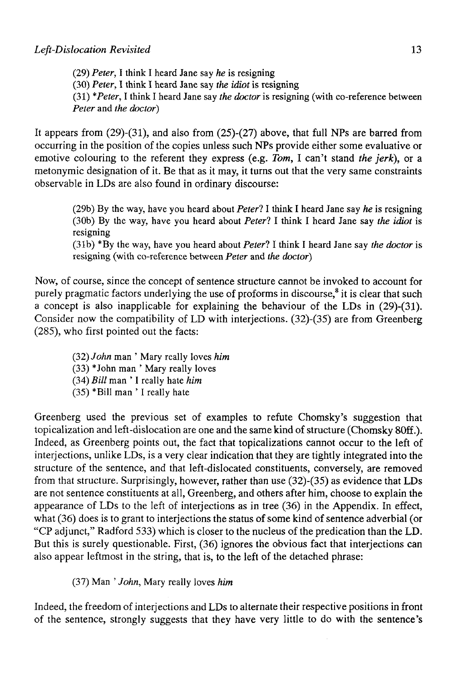(29) *Peter,* I think I heard Jane say *he* is resigning (30) *Peter,* I think I heard Jane say *the idiot* is resigning (31) *\*Peter,* I think I heard Jane say *the doctor* is resigning (with co-reference between *Peter* and *the doctor)* 

It appears from (29)-(31), and also from (25)-(27) above, that full NPs are barred from occurring in the position of the copies unless such NPs provide either some evaluative or emotive colouring to the referent they express (e.g. *Tom,* I can't stand *the jerk),* or a metonymic designation of it. Be that as it may, it turns out that the very same constraints observable in LDs are also found in ordinary discourse:

> (29b) By the way, have you heard about *Peter?* I think I heard Jane say *he* is resigning (30b) By the way, have you heard about *Peterl* I think I heard Jane say *the idiot* is resigning

> (31b) \*By the way, have you heard about *Peterl* I think I heard Jane say *the doctor* is resigning (with co-reference between *Peter* and *the doctor)*

Now, of course, since the concept of sentence structure cannot be invoked to account for purely pragmatic factors underlying the use of proforms in discourse,<sup>8</sup> it is clear that such a concept is also inapplicable for explaining the behaviour of the LDs in (29)-(31). Consider now the compatibility of LD with interjections. (32)-(35) are from Greenberg (285), who first pointed out the facts:

(32) *John* man ' Mary really loves *him*  (33) \*John man ' Mary really loves (34) *Bill* man ' I really hate *him*  (35) \*Bill man ' I really hate

Greenberg used the previous set of examples to refute Chomsky's suggestion that topicalization and left-dislocation are one and the same kind of structure (Chomsky 80ff.). Indeed, as Greenberg points out, the fact that topicalizations cannot occur to the left of interjections, unlike LDs, is a very clear indication that they are tightly integrated into the structure of the sentence, and that left-dislocated constituents, conversely, are removed from that structure. Surprisingly, however, rather than use (32)-(35) as evidence that LDs are not sentence constituents at all, Greenberg, and others after him, choose to explain the appearance of LDs to the left of interjections as in tree (36) in the Appendix. In effect, what (36) does is to grant to interjections the status of some kind of sentence adverbial (or "CP adjunct," Radford 533) which is closer to the nucleus of the predication than the LD. But this is surely questionable. First, (36) ignores the obvious fact that interjections can also appear leftmost in the string, that is, to the left of the detached phrase:

(37) Man ' *John,* Mary really loves *him* 

Indeed, the freedom of interjections and LDs to altérnate their respective positions in front of the sentence, strongly suggests that they have very little to do with the sentence's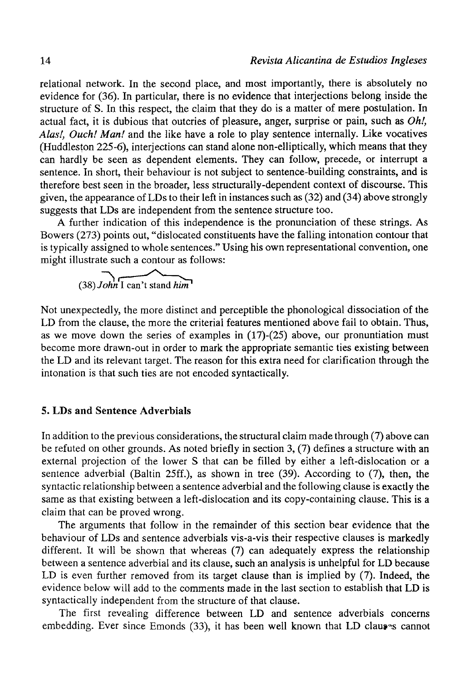relational network. In the second place, and most importantly, there is absolutely no evidence for (36). In particular, there is no evidence that interjections belong inside the structure of S. In this respect, the claim that they do is a matter of mere postulation. In actual fact, it is dubious that outcries of pleasure, anger, surprise or pain, such as *Oh!, Alas!, Ouch! Man!* and the like have a role to play sentence internally. Like vocatives (Huddleston 225-6), interjections can stand alone non-elliptically, which means that they can hardly be seen as dependent elements. They can follow, precede, or interrupt a sentence. In short, their behaviour is not subject to sentence-building constraints, and is therefore best seen in the broader, less structurally-dependent context of discourse. This given, the appearance of LDs to their left in instances such as (32) and (34) above strongly suggests that LDs are independent from the sentence structure too.

A further indication of this independence is the pronunciation of these strings. As Bowers (273) points out, "dislocated constituents have the falling intonation contour that is typically assigned to whole sentences." Using his own representational convention, one might illustrate such a contour as follows:

$$
(38) John I can't stand him
$$

Not unexpectedly, the more distinct and perceptible the phonological dissociation of the LD from the clause, the more the criterial features mentioned above fail to obtain. Thus, as we move down the series of examples in  $(17)-(25)$  above, our pronuntiation must become more drawn-out in order to mark the appropriate semantic ties existing between the LD and its relevant target. The reason for this extra need for clarification through the intonation is that such ties are not encoded syntactically.

#### 5. LDs **and** Sentence Adverbials

In addition to the previous considerations, the structural claim made through (7) above can be refuted on other grounds. As noted briefly in section 3, (7) defines a structure with an external projection of the lower S that can be filled by either a left-dislocation or a sentence adverbial (Baltin 25ff.), as shown in tree (39). According to (7), then, the syntactic relationship between a sentence adverbial and the following clause is exactly the same as that existing between a left-dislocation and its copy-containing clause. This is a claim that can be proved wrong.

The arguments that follow in the remainder of this section bear evidence that the behaviour of LDs and sentence adverbials vis-a-vis their respective clauses is markedly different. It will be shown that whereas (7) can adequately express the relationship between a sentence adverbial and its clause, such an analysis is unhelpful for LD because LD is even further removed from its target clause than is implied by (7). Indeed, the evidence below will add to the comments made in the last section to establish that LD is syntactically independent from the structure of that clause.

The first revealing difference between LD and sentence adverbials concerns embedding. Ever since Emonds (33), it has been well known that LD clauses cannot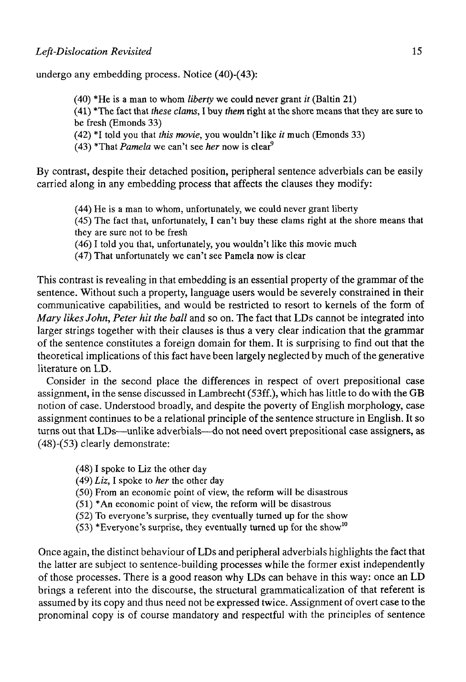undergo any embedding process. Notice (40)-(43):

(40) \*He is a man to whom *liberty* we could never grant *it* (Baltin 21)

(41) \*The fact that *these clams,* I buy *them* right at the shore means that they are sure to be fresh (Emonds 33)

(42) \*I told you that *this movie,* you wouldn't like *it* much (Emonds 33)

 $(43)$  \*That *Pamela* we can't see *her* now is clear<sup>9</sup>

By contrast, despite their detached position, peripheral sentence adverbials can be easily carried along in any embedding process that affects the clauses they modify:

(44) He is a man to whom, unfortunately, we could never grant liberty

(45) The fact that, unfortunately, I can't buy these clams right at the shore means that they are sure not to be fresh

(46) I told you that, unfortunately, you wouldn't like this movie much

(47) That unfortunately we can't see Pamela now is clear

This contrast is revealing in that embedding is an essential property of the grammar of the sentence. Without such a property, language users would be severely constrained in their communicative capabilities, and would be restricted to resort to kernels of the form of *Mary likes John, Peter hit the ball* and so on. The fact that LDs cannot be integrated into larger strings together with their clauses is thus a very clear indication that the grammar of the sentence constitutes a foreign domain for them. It is surprising to find out that the theoretical implications of this fact have been largely neglected by much of the generative literature on LD.

Consider in the second place the differences in respect of overt prepositional case assignment, in the sense discussed in Lambrecht (53ff.), which has little to do with the GB notion of case. Understood broadly, and despite the poverty of English morphology, case assignment continues to be a relational principle of the sentence structure in English. It so turns out that LDs—unlike adverbials—do not need overt prepositional case assigners, as  $(48)-(53)$  clearly demonstrate:

(48) I spoke to Liz the other day

(49) *Liz,* I spoke to *her* the other day

(50) From an economic point of view, the reform will be disastrous

(51) \*An economic point of view, the reform will be disastrous

(52) To everyone's surprise, they eventually turned up for the show

 $(53)$  \*Everyone's surprise, they eventually turned up for the show<sup>10</sup>

Once again, the distinct behaviour of LDs and peripheral adverbials highlights the fact that the latter are subject to sentence-building processes while the former exist independently of those processes. There is a good reason why LDs can behave in this way: once an LD brings a referent into the discourse, the structural grammaticalization of that referent is assumed by its copy and thus need not be expressed twice. Assignment of overt case to the pronominal copy is of course mandatory and respectful with the principies of sentence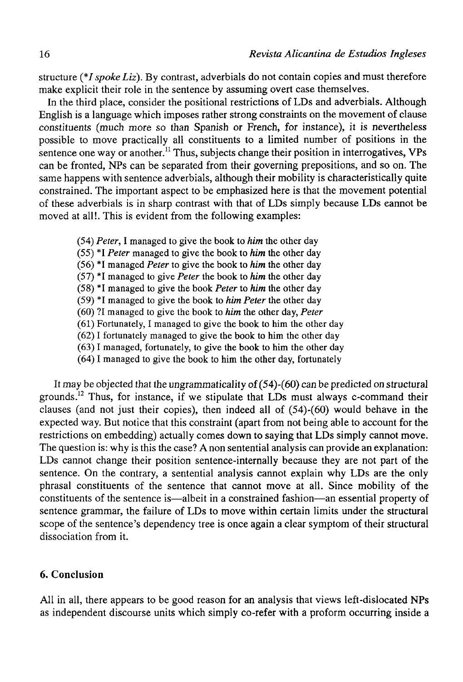structure *(\*I spoke Liz).* By contrast, adverbials do not contain copies and must therefore make explicit their role in the sentence by assuming overt case themselves.

In the third place, consider the positional restrictions of LDs and adverbials. Although English is a language which imposes rather strong constraints on the movement of clause constituents (much more so than Spanish or French, for instance), it is nevertheless possible to move practically all constituents to a limited number of positions in the sentence one way or another.<sup>11</sup> Thus, subjects change their position in interrogatives, VPs can be fronted, NPs can be separated from their governing prepositions, and so on. The same happens with sentence adverbials, although their mobility is characteristically quite constrained. The important aspect to be emphasized here is that the movement potential of these adverbials is in sharp contrast with that of LDs simply because LDs eannot be moved at all!. This is evident from the following examples:

- (54) *Peter,* I managed to give the book to *him* the other day
- (55) \*I *Peter* managed to give the book to *him* the other day
- (56) \*I managed *Peter* to give the book to *him* the other day
- (57) \* I managed to give *Peter* the book to *him* the other day
- (58) \*I managed to give the book *Peter* to *him* the other day
- (59) \*I managed to give the book to *him Peter* the other day
- (60) ?I managed to give the book to *him* the other day, *Peter*
- (61) Fortunately, I managed to give the book to him the other day
- (62) I fortunately managed to give the book to him the other day
- (63) I managed, fortunately, to give the book to him the other day
- (64) I managed to give the book to him the other day, fortunately

It may be objected that the ungrammaticality of  $(54)-(60)$  can be predicted on structural grounds.<sup>12</sup> Thus, for instance, if we stipulate that LDs must always c-command their clauses (and not just their copies), then indeed all of (54)-(60) would behave in the expected way. But notice that this constraint (apart from not being able to account for the restrictions on embedding) actually comes down to saying that LDs simply eannot move. The question is: why is this the case? A non sentential analysis can provide an explanation: LDs cannot change their position sentence-internally because they are not part of the sentence. On the contrary, a sentential analysis eannot explain why LDs are the only phrasal constituents of the sentence that eannot move at all. Since mobility of the constituents of the sentence is—albeit in a constrained fashion—an essential property of sentence grammar, the failure of LDs to move within certain limits under the structural scope of the sentence's dependeney tree is once again a clear symptom of their structural dissociation from it.

# 6. Conclusión

All in all, there appears to be good reason for an analysis that views left-dislocated NPs as independent discourse units which simply co-refer with a proform oceurring inside a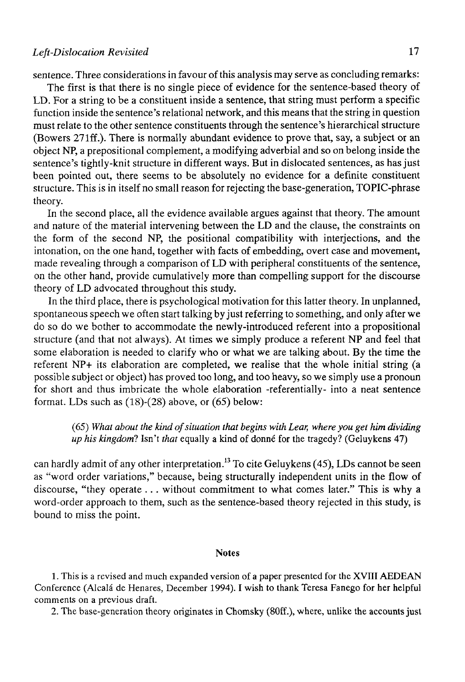### *Left-Dislocation Revisited* 17

sentence. Three considerations in favour of this analysis may serve as concluding remarks:

The first is that there is no single piece of evidence for the sentence-based theory of LD. For a string to be a constituent inside a sentence, that string must perform a specific function inside the sentence's relational network, and this means that the string in question must relate to the other sentence constituents through the sentence's hierarchical structure (Bowers 271ff.). There is normally abundant evidence to prove that, say, a subject or an object NP, a prepositional complement, a modifying adverbial and so on belong inside the sentence's tightly-knit structure in different ways. But in dislocated sentences, as has just been pointed out, there seems to be absolutely no evidence for a definite constituent structure. This is in itself no small reason for rejecting the base-generation, TOPIC-phrase theory.

In the second place, all the evidence available argües against that theory. The amount and nature of the material intervening between the LD and the clause, the constraints on the form of the second NP, the positional compatibility with interjections, and the intonation, on the one hand, together with facts of embedding, overt case and movement, made revealing through a comparison of LD with peripheral constituents of the sentence, on the other hand, provide cumulatively more than compelling support for the discourse theory of LD advocated throughout this study.

In the third place, there is psychological motivation for this latter theory. In unplanned, spontaneous speech we often start talking by just referring to something, and only after we do so do we bother to accommodate the newly-introduced referent into a propositional structure (and that not always). At times we simply produce a referent NP and feel that some elaboration is needed to clarify who or what we are talking about. By the time the referent NP+ its elaboration are completed, we realise that the whole initial string (a possible subject or object) has proved too long, and too heavy, so we simply use a pronoun for short and thus imbrícate the whole elaboration -referentially- into a neat sentence format. LDs such as (18)-(28) above, or (65) below:

(65) *What about the kind ofsituation that begins with Lear, where you get him dividing up his kingdom*? Isn't *that* equally a kind of donné for the tragedy? (Geluykens 47)

can hardly admit of any other interpretation.<sup>13</sup> To cite Geluykens (45), LDs cannot be seen as "word order variations," because, being structurally independent units in the flow of discourse, "they operate ... without commitment to what comes later." This is why a word-order approach to them, such as the sentence-based theory rejected in this study, is bound to miss the point.

#### Notes

1. This is a revised and much expanded version of a paper presented for the XVIII AEDEAN Conference (Alcalá de Henares, December 1994). I wish to thank Teresa Fanego for her helpful comments on a previous draft.

2. The base-generation theory originates in Chomsky (80ff.), where, unlike the accounts just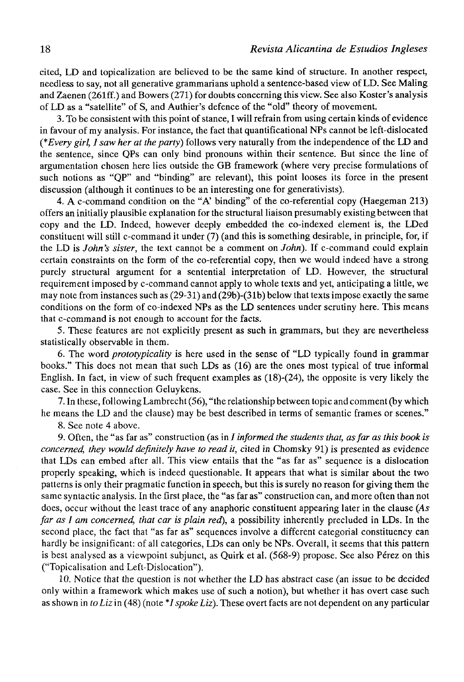cited, LD and topicalization are believed to be the same kind of structure. In another respect, needless to say, not all generative grammarians uphold a sentence-based view of LD. See Maling and Zaenen (261ff.) and Bowers (271) for doubts concerning this view. See also Koster's analysis of LD as a "satellite" of S, and Authier's defence of the "old" theory of movement.

3. To be consistent with this point of stance, I will refrain from using certain kinds of evidence in favour of my analysis. For instance, the fact that quantificational NPs cannot be left-dislocated *(\*Every girl, I saw her at the party)* follows very naturally from the independence of the LD and the sentence, since QPs can only bind pronouns within their sentence. But since the Une of argumentation chosen here lies outside the GB framework (where very precise formulations of such notions as "QP" and "binding" are relevant), this point looses its force in the present discussion (although it continues to be an interesting one for generativists).

4. A c-command condition on the "A' binding" of the co-referential copy (Haegeman 213) offers an initially plausible explanation for the structural liaison presumably existingbetween that copy and the LD. Indeed, however deeply embedded the co-indexed element is, the LDed constituent will still c-command it under (7) (and this is something desirable, in principie, for, if the LD is *John's sister,* the text cannot be a comment on *John).* If c-command could explain certain constraints on the form of the co-referential copy, then we would indeed have a strong purely structural argument for a sentential interpretation of LD. However, the structural requirement imposed by c-command cannot apply to whole texts and yet, anticipating a little, we may note from instances such as (29-31) and (29b)-(31b) below that texts impose exactly the same conditions on the form of co-indexed NPs as the LD sentences under scrutiny here. This means that c-command is not enough to account for the facts.

5. These features are not explicitly present as such in grammars, but they are nevertheless statistically observable in them.

6. The word *prototypicality* is here used in the sense of "LD typically found in grammar books." This does not mean that such LDs as (16) are the ones most typical of true informal English. In fact, in view of such frequent examples as (18)-(24), the opposite is very likely the case. See in this connection Geluykens.

7. In these, following Lambrecht (56), "the relationship between topic and comment (by which he means the LD and the clause) may be best described in terms of semantic frames or scenes."

8. See note 4 above.

9. Often, the "as far as" construction (as in / *informed the students that, as jar as this book is concerned, they would definitely have to read it,* cited in Chomsky 91) is presented as evidence that LDs can embed after all. This view entails that the "as far as" sequence is a dislocation properly speaking, which is indeed questionable. It appears that what is similar about the two patterns is only their pragmatic function in speech, but this is surely no reason for giving them the same syntactic analysis. In the first place, the "as far as" construction can, and more often than not does, occur without the least trace of any anaphoric constituent appearing later in the clause *(As far as I am concerned, that car is plain red),* a possibility inherently precluded in LDs. In the second place, the fact that "as far as" sequences involve a different categorial constituency can hardly be insignificant: of all categories, LDs can only be NPs. Overall, it seems that this pattern is best analysed as a viewpoint subjunct, as Quirk et al. (568-9) propose. See also Pérez on this ("Topicalisation and Left-Dislocation").

10. Notice that the question is not whether the LD has abstract case (an issue to be decided only within a framework which makes use of such a notion), but whether it has overt case such as shown in *toLiz'm* (48) (note \*/*spokeLiz).* These overt facts are not dependent on any particular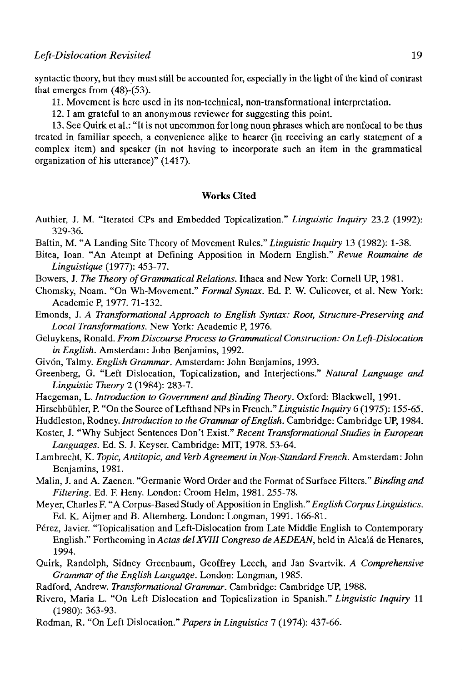syntactic theory, but they must still be accounted for, especially in the light of the kind of contrast that emerges from (48)-(53).

11. Movement is here used in its non-technical, non-transformational interpretation.

12.1 am grateful to an anonymous reviewer for suggesting this point.

13. See Quirk et al.: "It is not uncommon for long noun phrases which are nonfocal to be thus treated in familiar speech, a convenience alike to hearer (in receiving an early statement of a complex item) and speaker (in not having to incorporate such an item in the grammatical organization of his utterance)" (1417).

#### **Works Cited**

- Authier, J. M. "Iterated CPs and Embedded Tbpicalization." *Linguistic Inquiry* 23.2 (1992): 329-36.
- Baltin, M. "A Landing Site Theory of Movement Rules." *Linguistic Inquiry* 13 (1982): 1-38.
- Bitea, loan. "An Atempt at Defining Apposition in Modern English." *Revue Roumaine de Linguistique* (1977): 453-77.
- Bowers, J. *The Theory of Grammatical Relations.* Ithaca and New York: Cornell UP, 1981.
- Chomsky, Noam. "On Wh-Movement." *Formal Syntax.* Ed. P. W. Culicover, et al. New York: Academic P, 1977. 71-132.
- Emonds, J. *A Transformational Approach to English Syntax: Root, Structure-Preserving and Local Transformations.* New York: Academic P, 1976.
- Geluykens, Ronald. *From Discourse Process to Grammatical Construction: On Left-Dislocation in English.* Amsterdam: John Benjamins, 1992.
- Givón, Talmy. *English Grammar.* Amsterdam: John Benjamins, 1993.
- Greenberg, G. "Left Dislocation, Topicalization, and Interjections." *Natural Language and Linguistic Theory* 2 (1984): 283-7.
- Haegeman, L. Introduction to Government and Binding Theory. Oxford: Blackwell, 1991.
- Hirschbühler, P. "On the Source of Lefthand NPs in French." *Linguistic Inquiry* 6 (1975): 155-65.
- Huddleston, Rodney. *Introduction to the Grammar of English.* Cambridge: Cambridge UP, 1984.
- Koster, J. "Why Subject Sentences Don't Exist." *Recent Transformational Studies in European Languages.* Ed. S. J. Keyser. Cambridge: MIT, 1978. 53-64.
- Lambrecht, K. *Topic, Antitopic, and Verb Agreement in Non-Standard French.* Amsterdam: John Benjamins, 1981.
- Malin, J. and A. Zaenen. "Germanic Word Order and the Format of Surface Filters." *Binding and Filtering.* Ed. F. Heny. London: Croom Helm, 1981. 255-78.
- Meyer, Charles F. "A Corpus-Based Study of Apposition in English." *English Corpus Linguistics.*  Ed. K. Aijmer and B. Altemberg. London: Longman, 1991. 166-81.
- Pérez, Javier. "Topicalisation and Left-Dislocation from Late Middle English to Contemporary English." Forthcoming in *Actas delXVIII Congreso de AEDEAN,* held in Alcalá de Henares, 1994.
- Quirk, Randolph, Sidney Greenbaum, Geoffrey Leech, and Jan Svartvik. *A Comprehensive Grammar of the English Language.* London: Longman, 1985.
- Radford, Andrew. *Transformational Grammar.* Cambridge: Cambridge UP, 1988.
- Rivero, María L. "On Left Dislocation and Topicalization in Spanish." *Linguistic Inquiry* 11 (1980): 363-93.
- Rodman, R. "On Left Dislocation." *Papers in Linguistics* 7 (1974): 437-66.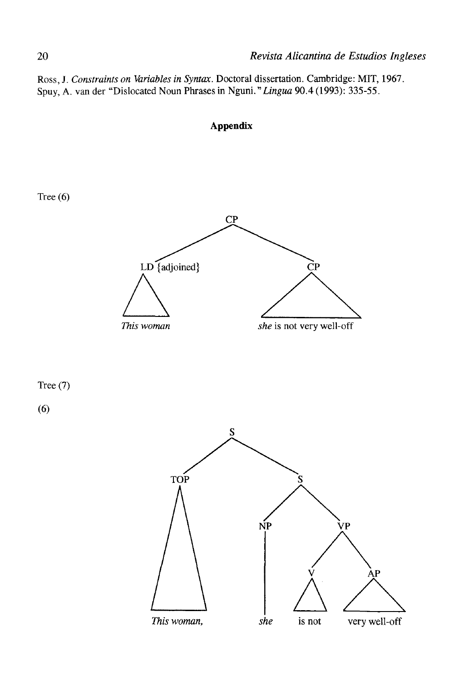Ross, J. *Constraints on Variables in Syntax.* Doctoral dissertation. Cambridge: MIT, 1967. Spuy, A. van der "Dislocated Noun Phrases in Nguni. *"Lingua* 90.4 (1993): 335-55.



*This woman, she* is not very well-off

**Appendix**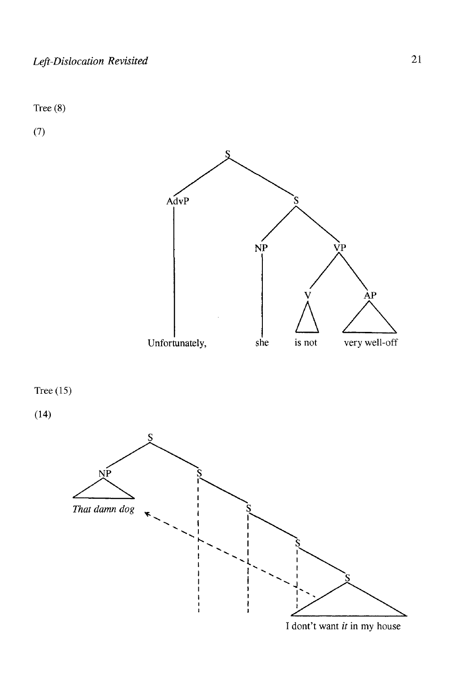Tree (8)

(7)



I dont't want *it* in my house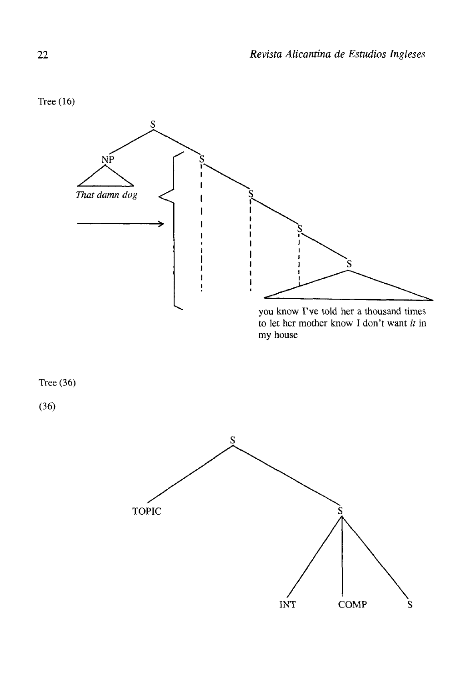Tree (16)